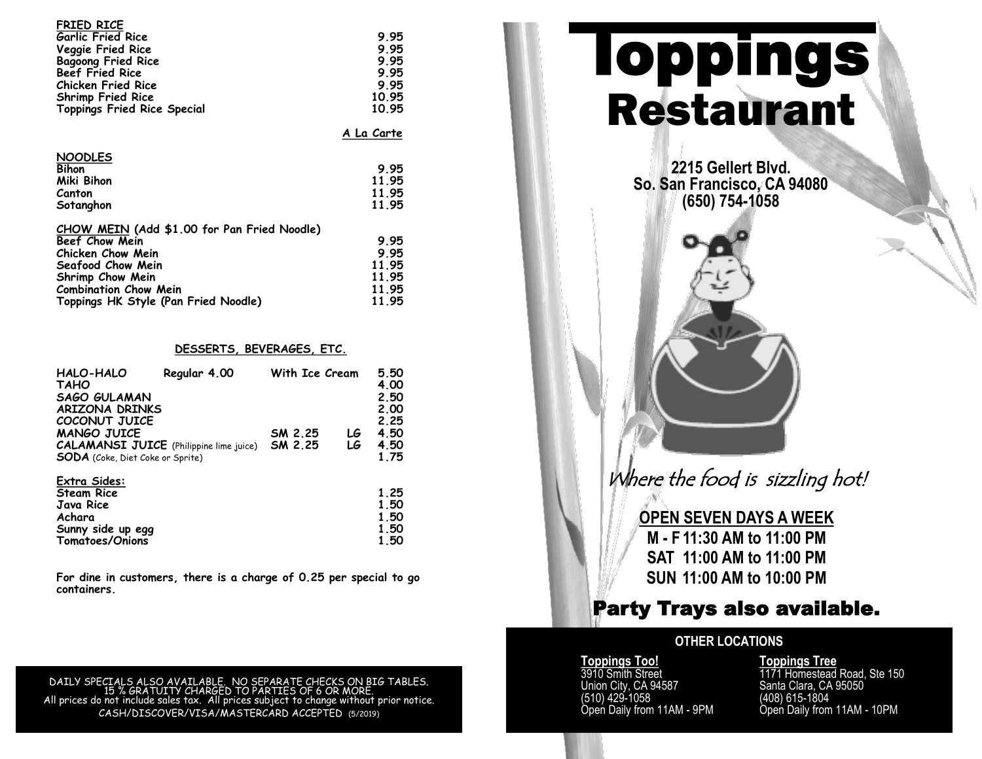| <b>FRIED RICE</b>                  |       |
|------------------------------------|-------|
| <b>Garlic Fried Rice</b>           | 9.95  |
| Veggie Fried Rice                  | 9.95  |
| <b>Bagoong Fried Rice</b>          | 9.95  |
| <b>Beef Fried Rice</b>             | 9.95  |
| <b>Chicken Fried Rice</b>          | 995   |
| <b>Shrimp Fried Rice</b>           | 10.95 |
| <b>Toppings Fried Rice Special</b> | 10.95 |
|                                    |       |

**A La Carte**

| <b>NOODLES</b> |       |
|----------------|-------|
| <b>Bihon</b>   | 9.95  |
| Miki Bihon     | 11.95 |
| Canton         | 11.95 |
| Sotanghon      | 11.95 |

| CHOW MEIN (Add \$1.00 for Pan Fried Noodle) |       |
|---------------------------------------------|-------|
| Beef Chow Mein                              | 9.95  |
| Chicken Chow Mein                           | 9.95  |
| Seafood Chow Mein                           | 11.95 |
| Shrimp Chow Mein                            | 11 95 |
| <b>Combination Chow Mein</b>                | 11.95 |
| Toppings HK Style (Pan Fried Noodle)        | 11.95 |

#### **DESSERTS, BEVERAGES, ETC.**

| HALO-HALO<br><b>TAHO</b><br><b>SAGO GULAMAN</b><br><b>ARIZONA DRINKS</b> | Regular 4.00 | With Ice Cream     |          | 5.50<br>4.00<br>2.50<br>2.00 |
|--------------------------------------------------------------------------|--------------|--------------------|----------|------------------------------|
| COCONUT JUICE                                                            |              |                    |          | 2.25                         |
| <b>MANGO JUICE</b><br><b>CALAMANSI JUICE</b> (Philippine lime juice)     |              | SM 2.25<br>SM 2.25 | LG<br>LG | 4.50<br>4.50                 |
| <b>SODA</b> (Coke, Diet Coke or Sprite)                                  |              |                    |          | 1.75                         |
| Extra Sides:                                                             |              |                    |          |                              |
| <b>Steam Rice</b><br>Java Rice                                           |              |                    |          | 1.25<br>1.50                 |
| Achara                                                                   |              |                    |          | 1.50                         |
| Sunny side up egg<br>Tomatoes/Onions                                     |              |                    |          | 1.50<br>1.50                 |

**For dine in customers, there is a charge of 0.25 per special to go containers.** 

DAILY SPECIALS ALSO AVAILABLE. NO SEPARATE CHECKS ON BIG TABLES. 15 % GRATUITY CHARGED TO PARTIES OF 6 OR MORE. All prices do not include sales tax. All prices subject to change without prior notice. CASH/DISCOVER/VISA/MASTERCARD ACCEPTED (5/2019)

# **Toppings** Restaurant

**2215 Gellert Blvd. So. San Francisco, CA 94080 (650) 754-1058**

Where the food is sizzling hot!

**OPEN SEVEN DAYS A WEEK M - F 11:30 AM to 11:00 PM SAT 11:00 AM to 11:00 PM SUN 11:00 AM to 10:00 PM**

# Party Trays also available.

# **OTHER LOCATIONS**

**Toppings Too!**<br>3910 Smith Street (510) 429-1058<br>Open Daily from 11AM - 9PM

**Toppings Too!**<br>
3910 Smith Street 1171 Homestead Road, Ste 150<br>
Union City, CA 94587 Santa Clara, CA 95050 Santa Clara, CA 95050<br>(408) 615-1804 Open Daily from 11AM - 10PM